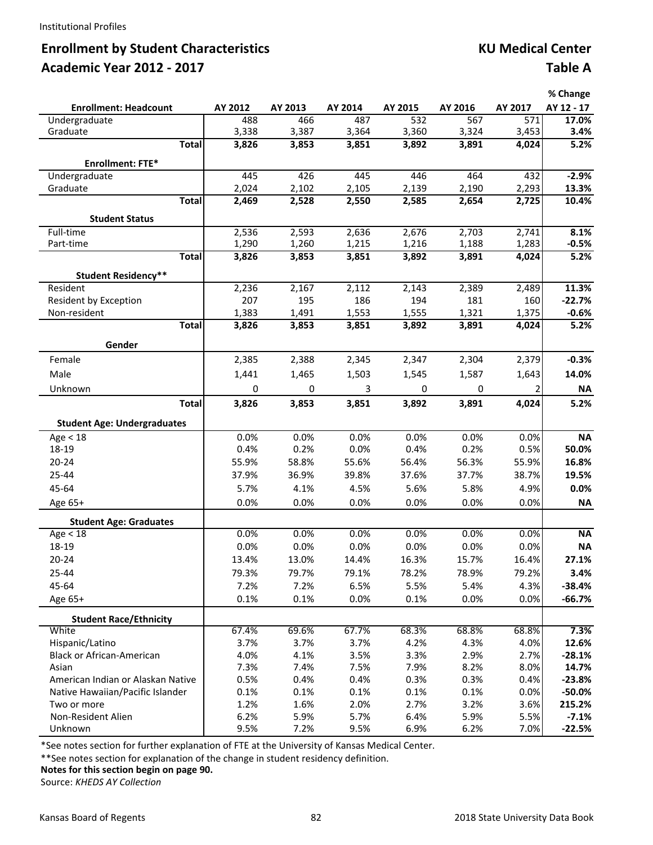# **Enrollment by Student Characteristics KU Medical Center Academic Year 2012 ‐ 2017 Table A**

|                                    |         |         |         |         |         |                | % Change   |
|------------------------------------|---------|---------|---------|---------|---------|----------------|------------|
| <b>Enrollment: Headcount</b>       | AY 2012 | AY 2013 | AY 2014 | AY 2015 | AY 2016 | AY 2017        | AY 12 - 17 |
| Undergraduate                      | 488     | 466     | 487     | 532     | 567     | 571            | 17.0%      |
| Graduate                           | 3,338   | 3,387   | 3,364   | 3,360   | 3,324   | 3,453          | 3.4%       |
| <b>Total</b>                       | 3,826   | 3,853   | 3,851   | 3,892   | 3,891   | 4,024          | 5.2%       |
| <b>Enrollment: FTE*</b>            |         |         |         |         |         |                |            |
| Undergraduate                      | 445     | 426     | 445     | 446     | 464     | 432            | $-2.9%$    |
| Graduate                           | 2,024   | 2,102   | 2,105   | 2,139   | 2,190   | 2,293          | 13.3%      |
| <b>Total</b>                       | 2,469   | 2,528   | 2,550   | 2,585   | 2,654   | 2,725          | 10.4%      |
|                                    |         |         |         |         |         |                |            |
| <b>Student Status</b>              |         |         |         |         |         |                |            |
| Full-time                          | 2,536   | 2,593   | 2,636   | 2,676   | 2,703   | 2,741          | 8.1%       |
| Part-time                          | 1,290   | 1,260   | 1,215   | 1,216   | 1,188   | 1,283          | $-0.5%$    |
| <b>Total</b>                       | 3,826   | 3,853   | 3,851   | 3,892   | 3,891   | 4,024          | 5.2%       |
| <b>Student Residency**</b>         |         |         |         |         |         |                |            |
| Resident                           | 2,236   | 2,167   | 2,112   | 2,143   | 2,389   | 2,489          | 11.3%      |
| Resident by Exception              | 207     | 195     | 186     | 194     | 181     | 160            | $-22.7%$   |
| Non-resident                       | 1,383   | 1,491   | 1,553   | 1,555   | 1,321   | 1,375          | $-0.6%$    |
| <b>Total</b>                       | 3,826   | 3,853   | 3,851   | 3,892   | 3,891   | 4,024          | 5.2%       |
|                                    |         |         |         |         |         |                |            |
| Gender                             |         |         |         |         |         |                |            |
| Female                             | 2,385   | 2,388   | 2,345   | 2,347   | 2,304   | 2,379          | $-0.3%$    |
| Male                               | 1,441   | 1,465   | 1,503   | 1,545   | 1,587   | 1,643          | 14.0%      |
| Unknown                            | 0       | 0       | 3       | 0       | 0       | $\overline{2}$ | <b>NA</b>  |
| <b>Total</b>                       | 3,826   | 3,853   | 3,851   | 3,892   | 3,891   | 4,024          | 5.2%       |
|                                    |         |         |         |         |         |                |            |
| <b>Student Age: Undergraduates</b> |         |         |         |         |         |                |            |
| Age < 18                           | 0.0%    | 0.0%    | 0.0%    | 0.0%    | 0.0%    | 0.0%           | <b>NA</b>  |
| 18-19                              | 0.4%    | 0.2%    | 0.0%    | 0.4%    | 0.2%    | 0.5%           | 50.0%      |
| 20-24                              | 55.9%   | 58.8%   | 55.6%   | 56.4%   | 56.3%   | 55.9%          | 16.8%      |
| 25-44                              | 37.9%   | 36.9%   | 39.8%   | 37.6%   | 37.7%   | 38.7%          | 19.5%      |
| 45-64                              | 5.7%    | 4.1%    | 4.5%    | 5.6%    | 5.8%    | 4.9%           | 0.0%       |
| Age 65+                            | 0.0%    | 0.0%    | 0.0%    | 0.0%    | 0.0%    | 0.0%           | <b>NA</b>  |
|                                    |         |         |         |         |         |                |            |
| <b>Student Age: Graduates</b>      |         |         |         |         |         |                |            |
| Age $<$ 18                         | 0.0%    | 0.0%    | 0.0%    | 0.0%    | 0.0%    | 0.0%           | <b>NA</b>  |
| 18-19                              | 0.0%    | 0.0%    | 0.0%    | 0.0%    | 0.0%    | 0.0%           | <b>NA</b>  |
| $20 - 24$                          | 13.4%   | 13.0%   | 14.4%   | 16.3%   | 15.7%   | 16.4%          | 27.1%      |
| 25-44                              | 79.3%   | 79.7%   | 79.1%   | 78.2%   | 78.9%   | 79.2%          | 3.4%       |
| 45-64                              | 7.2%    | 7.2%    | 6.5%    | 5.5%    | 5.4%    | 4.3%           | $-38.4%$   |
| Age 65+                            | 0.1%    | 0.1%    | 0.0%    | 0.1%    | 0.0%    | 0.0%           | $-66.7%$   |
| <b>Student Race/Ethnicity</b>      |         |         |         |         |         |                |            |
| White                              | 67.4%   | 69.6%   | 67.7%   | 68.3%   | 68.8%   | 68.8%          | 7.3%       |
| Hispanic/Latino                    | 3.7%    | 3.7%    | 3.7%    | 4.2%    | 4.3%    | 4.0%           | 12.6%      |
| <b>Black or African-American</b>   | 4.0%    | 4.1%    | 3.5%    | 3.3%    | 2.9%    | 2.7%           | $-28.1%$   |
| Asian                              | 7.3%    | 7.4%    | 7.5%    | 7.9%    | 8.2%    | 8.0%           | 14.7%      |
| American Indian or Alaskan Native  | 0.5%    | 0.4%    | 0.4%    | 0.3%    | 0.3%    | 0.4%           | $-23.8%$   |
| Native Hawaiian/Pacific Islander   | 0.1%    | 0.1%    | 0.1%    | 0.1%    | 0.1%    | 0.0%           | $-50.0\%$  |
| Two or more                        | 1.2%    | 1.6%    | 2.0%    | 2.7%    | 3.2%    | 3.6%           | 215.2%     |
| Non-Resident Alien                 | 6.2%    | 5.9%    | 5.7%    | 6.4%    | 5.9%    | 5.5%           | $-7.1%$    |
| Unknown                            | 9.5%    | 7.2%    | 9.5%    | 6.9%    | 6.2%    | 7.0%           | $-22.5%$   |

\*See notes section for further explanation of FTE at the University of Kansas Medical Center.

\*\*See notes section for explanation of the change in student residency definition.

**Notes for this section begin on page 90.**

Source: *KHEDS AY Collection*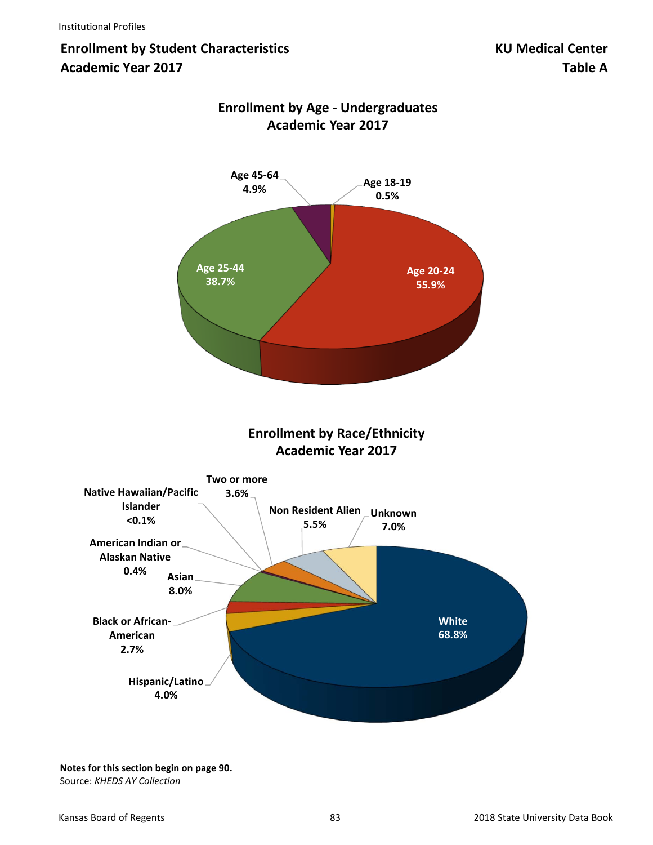# **Enrollment by Student Characteristics Access 20 Access 20 Access 20 Access 20 Access 20 Access 20 Access 20 Access 20 Access 20 Access 20 Access 20 Access 20 Access 20 Access 20 Access 20 Access 20 Access 20 Access 20 Acc Academic Year 2017 Table A**



## **Enrollment by Age ‐ Undergraduates Academic Year 2017**

**Notes for this section begin on page 90.** Source: *KHEDS AY Collection*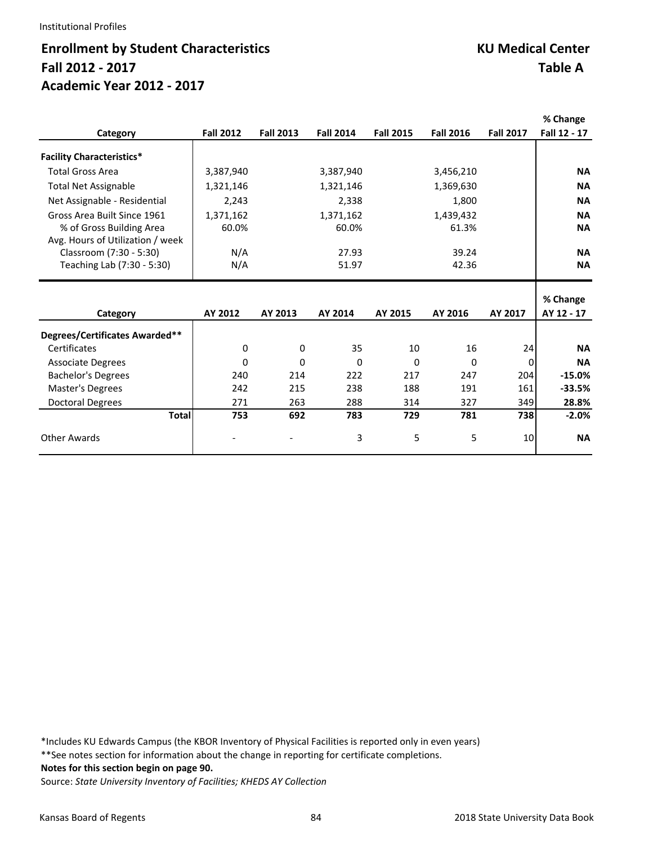## **Enrollment by Student Characteristics and Europe and Europe Center KU Medical Center Fall 2012 ‐ 2017 Table A Academic Year 2012 ‐ 2017**

|                                                                                             |                    |                  |                    |                  |                    |                  | % Change               |
|---------------------------------------------------------------------------------------------|--------------------|------------------|--------------------|------------------|--------------------|------------------|------------------------|
| Category                                                                                    | <b>Fall 2012</b>   | <b>Fall 2013</b> | <b>Fall 2014</b>   | <b>Fall 2015</b> | <b>Fall 2016</b>   | <b>Fall 2017</b> | Fall 12 - 17           |
| <b>Facility Characteristics*</b>                                                            |                    |                  |                    |                  |                    |                  |                        |
| <b>Total Gross Area</b>                                                                     | 3,387,940          |                  | 3,387,940          |                  | 3,456,210          |                  | <b>NA</b>              |
| <b>Total Net Assignable</b>                                                                 | 1,321,146          |                  | 1,321,146          |                  | 1,369,630          |                  | <b>NA</b>              |
| Net Assignable - Residential                                                                | 2,243              |                  | 2,338              |                  | 1,800              |                  | <b>NA</b>              |
| Gross Area Built Since 1961<br>% of Gross Building Area<br>Avg. Hours of Utilization / week | 1,371,162<br>60.0% |                  | 1,371,162<br>60.0% |                  | 1,439,432<br>61.3% |                  | <b>NA</b><br><b>NA</b> |
| Classroom (7:30 - 5:30)                                                                     | N/A                |                  | 27.93              |                  | 39.24              |                  | <b>NA</b>              |
| Teaching Lab (7:30 - 5:30)                                                                  | N/A                |                  | 51.97              |                  | 42.36              |                  | <b>NA</b>              |
| Category                                                                                    | AY 2012            | AY 2013          | AY 2014            | AY 2015          | AY 2016            | AY 2017          | % Change<br>AY 12 - 17 |
| Degrees/Certificates Awarded**                                                              |                    |                  |                    |                  |                    |                  |                        |
| Certificates                                                                                | 0                  | 0                | 35                 | 10               | 16                 | 24               | <b>NA</b>              |
| <b>Associate Degrees</b>                                                                    | 0                  | $\Omega$         | $\Omega$           | $\Omega$         | $\Omega$           | $\overline{0}$   | <b>NA</b>              |
| <b>Bachelor's Degrees</b>                                                                   | 240                | 214              | 222                | 217              | 247                | 204              | $-15.0%$               |
| Master's Degrees                                                                            | 242                | 215              | 238                | 188              | 191                | 161              | $-33.5%$               |
| <b>Doctoral Degrees</b>                                                                     | 271                | 263              | 288                | 314              | 327                | 349              | 28.8%                  |
| <b>Total</b>                                                                                | 753                | 692              | 783                | 729              | 781                | 738              | $-2.0%$                |
| <b>Other Awards</b>                                                                         |                    |                  | 3                  | 5                | 5                  | 10               | <b>NA</b>              |

\*Includes KU Edwards Campus (the KBOR Inventory of Physical Facilities is reported only in even years)

\*\*See notes section for information about the change in reporting for certificate completions.

**Notes for this section begin on page 90.**

Source: *State University Inventory of Facilities; KHEDS AY Collection*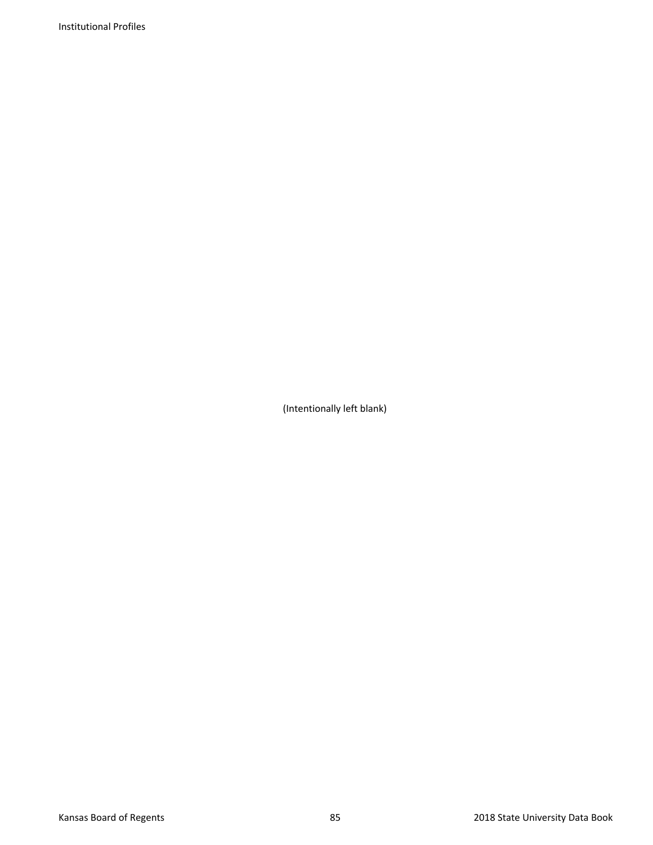Institutional Profiles

(Intentionally left blank)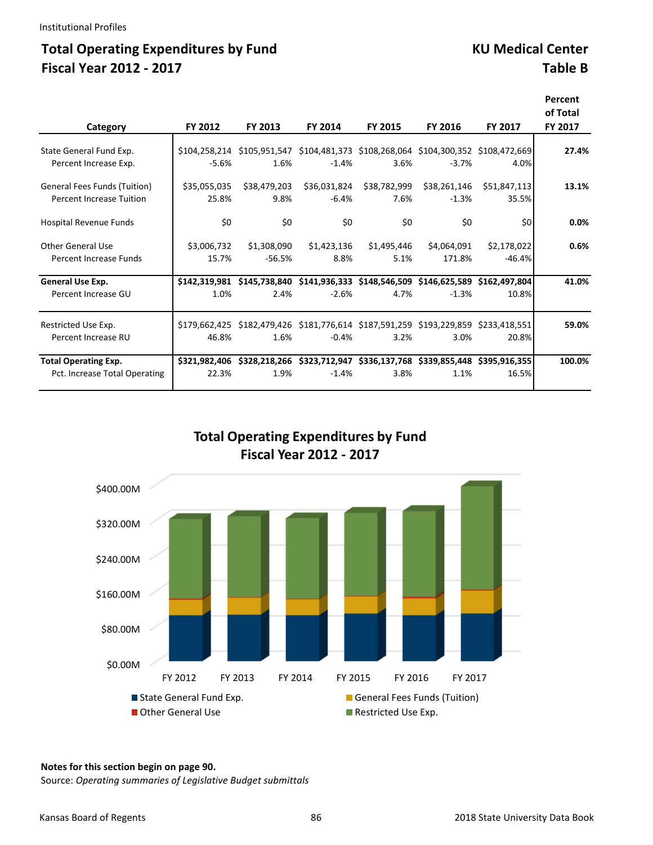## Total Operating Expenditures by Fund **KU Medical Center KU Medical Center Fiscal Year 2012 ‐ 2017 Table B**

| Category                        | FY 2012      | FY 2013                                                                             | FY 2014      | FY 2015      | FY 2016      | <b>FY 2017</b>                                                                      | Percent<br>of Total<br>FY 2017 |
|---------------------------------|--------------|-------------------------------------------------------------------------------------|--------------|--------------|--------------|-------------------------------------------------------------------------------------|--------------------------------|
|                                 |              |                                                                                     |              |              |              |                                                                                     |                                |
| State General Fund Exp.         |              |                                                                                     |              |              |              | \$104,258,214 \$105,951,547 \$104,481,373 \$108,268,064 \$104,300,352 \$108,472,669 | 27.4%                          |
| Percent Increase Exp.           | $-5.6%$      | 1.6%                                                                                | $-1.4%$      | 3.6%         | $-3.7%$      | 4.0%                                                                                |                                |
| General Fees Funds (Tuition)    | \$35,055,035 | \$38,479,203                                                                        | \$36,031,824 | \$38,782,999 | \$38,261,146 | \$51,847,113                                                                        | 13.1%                          |
| <b>Percent Increase Tuition</b> | 25.8%        | 9.8%                                                                                | $-6.4%$      | 7.6%         | $-1.3%$      | 35.5%                                                                               |                                |
| Hospital Revenue Funds          | \$0          | \$0                                                                                 | \$0          | \$0          | \$0          | \$0                                                                                 | $0.0\%$                        |
| Other General Use               | \$3,006,732  | \$1,308,090                                                                         | \$1,423,136  | \$1,495,446  | \$4,064,091  | \$2,178,022                                                                         | 0.6%                           |
| Percent Increase Funds          | 15.7%        | $-56.5%$                                                                            | 8.8%         | 5.1%         | 171.8%       | $-46.4%$                                                                            |                                |
| <b>General Use Exp.</b>         |              | \$142,319,981 \$145,738,840 \$141,936,333 \$148,546,509 \$146,625,589 \$162,497,804 |              |              |              |                                                                                     | 41.0%                          |
| Percent Increase GU             | 1.0%         | 2.4%                                                                                | $-2.6%$      | 4.7%         | $-1.3%$      | 10.8%                                                                               |                                |
| Restricted Use Exp.             |              |                                                                                     |              |              |              | \$179,662,425 \$182,479,426 \$181,776,614 \$187,591,259 \$193,229,859 \$233,418,551 | 59.0%                          |
| Percent Increase RU             | 46.8%        | 1.6%                                                                                | $-0.4%$      | 3.2%         | 3.0%         | 20.8%                                                                               |                                |
| <b>Total Operating Exp.</b>     |              |                                                                                     |              |              |              | \$321,982,406 \$328,218,266 \$323,712,947 \$336,137,768 \$339,855,448 \$395,916,355 | 100.0%                         |
| Pct. Increase Total Operating   | 22.3%        | 1.9%                                                                                | $-1.4%$      | 3.8%         | 1.1%         | 16.5%                                                                               |                                |
|                                 |              |                                                                                     |              |              |              |                                                                                     |                                |





#### **Notes for this section begin on page 90.**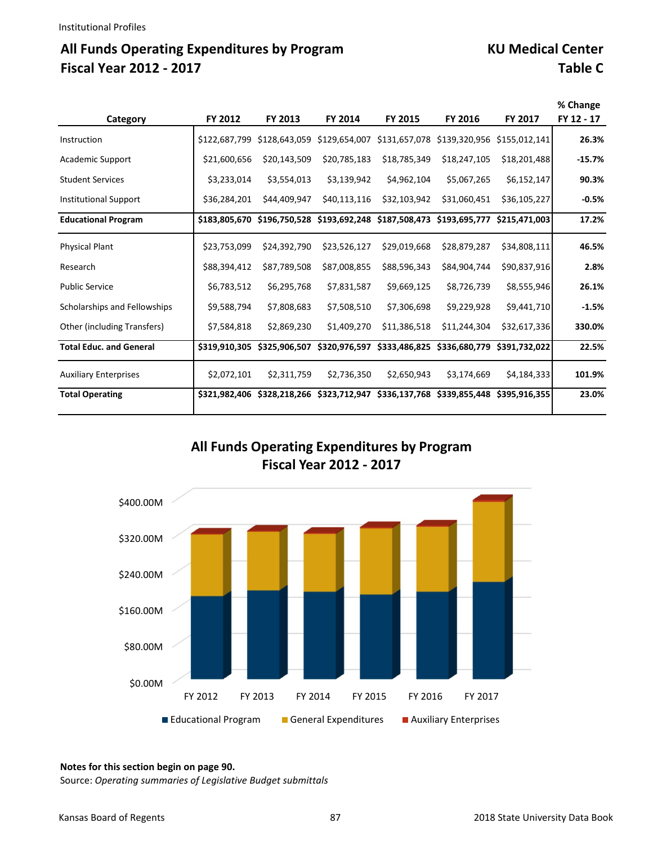# All Funds Operating Expenditures by Program **KU Medical Center Fiscal Year 2012 ‐ 2017 Table C**

| Category                       | FY 2012       | FY 2013       | FY 2014                                                 | FY 2015       | FY 2016       | FY 2017                                   | % Change<br>FY 12 - 17 |
|--------------------------------|---------------|---------------|---------------------------------------------------------|---------------|---------------|-------------------------------------------|------------------------|
| Instruction                    | \$122,687,799 | \$128,643,059 | \$129,654,007                                           | \$131,657,078 | \$139,320,956 | \$155,012,141                             | 26.3%                  |
| <b>Academic Support</b>        | \$21,600,656  | \$20,143,509  | \$20,785,183                                            | \$18,785,349  | \$18,247,105  | \$18,201,488                              | $-15.7%$               |
| <b>Student Services</b>        | \$3,233,014   | \$3,554,013   | \$3,139,942                                             | \$4,962,104   | \$5,067,265   | \$6,152,147                               | 90.3%                  |
| Institutional Support          | \$36,284,201  | \$44,409,947  | \$40,113,116                                            | \$32,103,942  | \$31,060,451  | \$36,105,227                              | $-0.5%$                |
| <b>Educational Program</b>     | \$183,805,670 |               | \$196,750,528 \$193,692,248 \$187,508,473 \$193,695,777 |               |               | \$215.471.003                             | 17.2%                  |
| <b>Physical Plant</b>          | \$23,753,099  | \$24,392,790  | \$23,526,127                                            | \$29,019,668  | \$28,879,287  | \$34,808,111                              | 46.5%                  |
| Research                       | \$88,394,412  | \$87,789,508  | \$87,008,855                                            | \$88,596,343  | \$84,904,744  | \$90,837,916                              | 2.8%                   |
| <b>Public Service</b>          | \$6,783,512   | \$6,295,768   | \$7,831,587                                             | \$9,669,125   | \$8,726,739   | \$8,555,946                               | 26.1%                  |
| Scholarships and Fellowships   | \$9,588,794   | \$7,808,683   | \$7,508,510                                             | \$7,306,698   | \$9,229,928   | \$9,441,710                               | $-1.5%$                |
| Other (including Transfers)    | \$7,584,818   | \$2,869,230   | \$1,409,270                                             | \$11,386,518  | \$11,244,304  | \$32,617,336                              | 330.0%                 |
| <b>Total Educ, and General</b> | \$319.910.305 | \$325,906,507 | \$320,976,597                                           | \$333,486,825 | \$336,680,779 | \$391.732.022                             | 22.5%                  |
| <b>Auxiliary Enterprises</b>   | \$2,072,101   | \$2,311,759   | \$2,736,350                                             | \$2,650,943   | \$3,174,669   | \$4,184,333                               | 101.9%                 |
| <b>Total Operating</b>         | \$321,982,406 |               | \$328,218,266 \$323,712,947                             |               |               | \$336,137,768 \$339,855,448 \$395,916,355 | 23.0%                  |

### **All Funds Operating Expenditures by Program Fiscal Year 2012 ‐ 2017**



#### **Notes for this section begin on page 90.**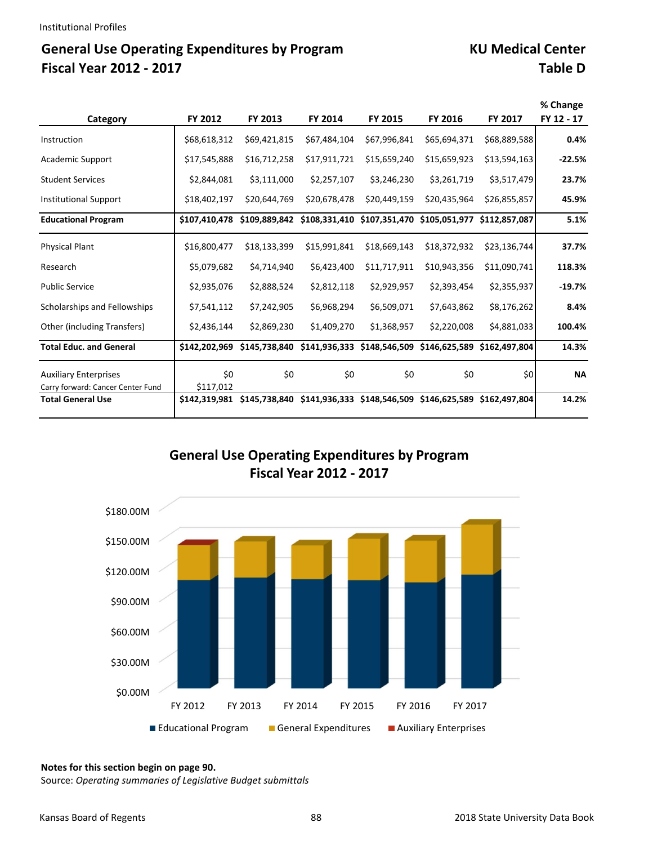# General Use Operating Expenditures by Program **KU Medical Center Fiscal Year 2012 ‐ 2017 Table D**

|                                   |               |                             |              |                                           |               |                | % Change   |
|-----------------------------------|---------------|-----------------------------|--------------|-------------------------------------------|---------------|----------------|------------|
| Category                          | FY 2012       | FY 2013                     | FY 2014      | FY 2015                                   | FY 2016       | <b>FY 2017</b> | FY 12 - 17 |
| Instruction                       | \$68,618,312  | \$69,421,815                | \$67,484,104 | \$67,996,841                              | \$65,694,371  | \$68,889,588   | 0.4%       |
| Academic Support                  | \$17,545,888  | \$16,712,258                | \$17,911,721 | \$15,659,240                              | \$15,659,923  | \$13,594,163   | $-22.5%$   |
| <b>Student Services</b>           | \$2,844,081   | \$3,111,000                 | \$2,257,107  | \$3,246,230                               | \$3,261,719   | \$3,517,479    | 23.7%      |
| <b>Institutional Support</b>      | \$18,402,197  | \$20,644,769                | \$20,678,478 | \$20,449,159                              | \$20,435,964  | \$26,855,857   | 45.9%      |
| <b>Educational Program</b>        | \$107.410.478 | \$109.889.842               |              | \$108,331,410 \$107,351,470               | \$105,051,977 | \$112,857,087  | 5.1%       |
| <b>Physical Plant</b>             | \$16,800,477  | \$18,133,399                | \$15,991,841 | \$18,669,143                              | \$18,372,932  | \$23,136,744   | 37.7%      |
| Research                          | \$5,079,682   | \$4,714,940                 | \$6,423,400  | \$11,717,911                              | \$10,943,356  | \$11,090,741   | 118.3%     |
| <b>Public Service</b>             | \$2,935,076   | \$2,888,524                 | \$2,812,118  | \$2,929,957                               | \$2,393,454   | \$2,355,937    | $-19.7%$   |
| Scholarships and Fellowships      | \$7,541,112   | \$7,242,905                 | \$6,968,294  | \$6,509,071                               | \$7,643,862   | \$8,176,262    | 8.4%       |
| Other (including Transfers)       | \$2,436,144   | \$2,869,230                 | \$1,409,270  | \$1,368,957                               | \$2,220,008   | \$4,881,033    | 100.4%     |
| <b>Total Educ, and General</b>    | \$142,202,969 | \$145,738,840               |              | \$141,936,333 \$148,546,509 \$146,625,589 |               | \$162,497,804  | 14.3%      |
| <b>Auxiliary Enterprises</b>      | \$0           | \$0                         | \$0          | \$0                                       | \$0           | \$0            | <b>NA</b>  |
| Carry forward: Cancer Center Fund | \$117,012     |                             |              |                                           |               |                |            |
| <b>Total General Use</b>          |               | \$142,319,981 \$145,738,840 |              | \$141,936,333 \$148,546,509 \$146,625,589 |               | \$162.497.804  | 14.2%      |

## **General Use Operating Expenditures by Program Fiscal Year 2012 ‐ 2017**



#### **Notes for this section begin on page 90.**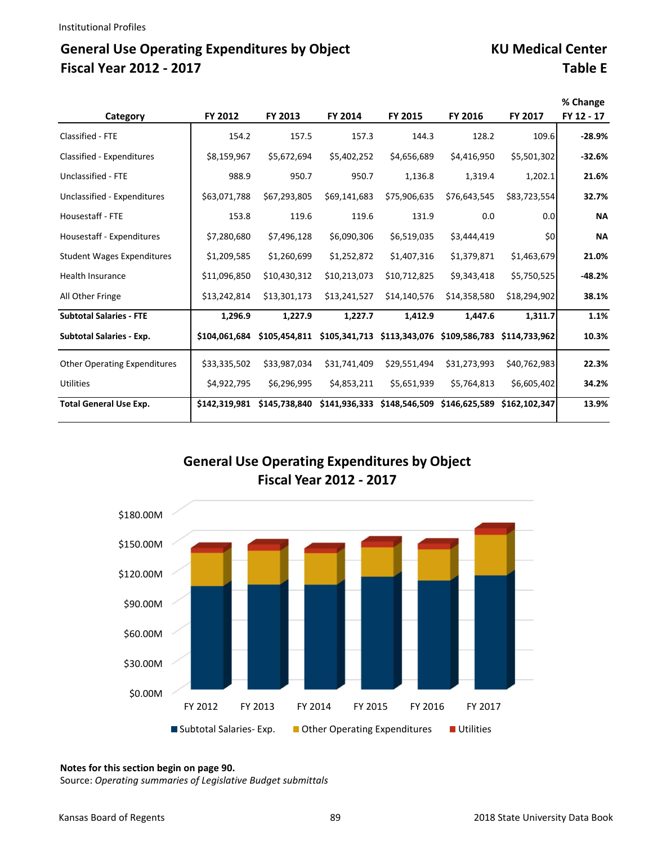# General Use Operating Expenditures by Object KU Medical Center **Fiscal Year 2012 ‐ 2017 Table E**

| Category                            | FY 2012       | FY 2013       | FY 2014      | FY 2015                                   | FY 2016      | FY 2017       | % Change<br>FY 12 - 17 |
|-------------------------------------|---------------|---------------|--------------|-------------------------------------------|--------------|---------------|------------------------|
| Classified - FTE                    | 154.2         | 157.5         | 157.3        | 144.3                                     | 128.2        | 109.6         | $-28.9%$               |
| Classified - Expenditures           | \$8,159,967   | \$5,672,694   | \$5,402,252  | \$4,656,689                               | \$4,416,950  | \$5,501,302   | $-32.6%$               |
| Unclassified - FTE                  | 988.9         | 950.7         | 950.7        | 1,136.8                                   | 1,319.4      | 1,202.1       | 21.6%                  |
| Unclassified - Expenditures         | \$63,071,788  | \$67,293,805  | \$69,141,683 | \$75,906,635                              | \$76,643,545 | \$83,723,554  | 32.7%                  |
| Housestaff - FTE                    | 153.8         | 119.6         | 119.6        | 131.9                                     | 0.0          | 0.0           | <b>NA</b>              |
| Housestaff - Expenditures           | \$7,280,680   | \$7,496,128   | \$6,090,306  | \$6,519,035                               | \$3,444,419  | \$0           | <b>NA</b>              |
| <b>Student Wages Expenditures</b>   | \$1,209,585   | \$1,260,699   | \$1,252,872  | \$1,407,316                               | \$1,379,871  | \$1,463,679   | 21.0%                  |
| <b>Health Insurance</b>             | \$11,096,850  | \$10,430,312  | \$10,213,073 | \$10,712,825                              | \$9,343,418  | \$5,750,525   | $-48.2%$               |
| All Other Fringe                    | \$13,242,814  | \$13,301,173  | \$13,241,527 | \$14,140,576                              | \$14,358,580 | \$18,294,902  | 38.1%                  |
| <b>Subtotal Salaries - FTE</b>      | 1,296.9       | 1,227.9       | 1,227.7      | 1,412.9                                   | 1,447.6      | 1,311.7       | 1.1%                   |
| <b>Subtotal Salaries - Exp.</b>     | \$104.061.684 | \$105.454.811 |              | \$105,341,713 \$113,343,076 \$109,586,783 |              | \$114.733.962 | 10.3%                  |
| <b>Other Operating Expenditures</b> | \$33,335,502  | \$33,987,034  | \$31,741,409 | \$29,551,494                              | \$31,273,993 | \$40,762,983  | 22.3%                  |
| <b>Utilities</b>                    | \$4,922,795   | \$6,296,995   | \$4,853,211  | \$5,651,939                               | \$5,764,813  | \$6,605,402   | 34.2%                  |
| <b>Total General Use Exp.</b>       | \$142,319,981 | \$145,738,840 |              | \$141,936,333 \$148,546,509 \$146,625,589 |              | \$162,102,347 | 13.9%                  |

## **General Use Operating Expenditures by Object Fiscal Year 2012 ‐ 2017**



#### **Notes for this section begin on page 90.**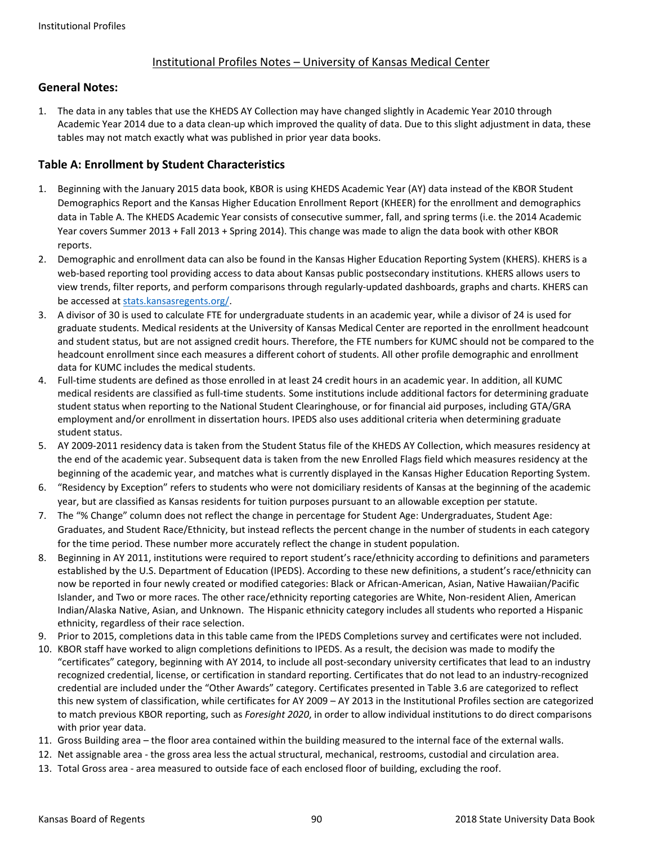### Institutional Profiles Notes – University of Kansas Medical Center

### **General Notes:**

1. The data in any tables that use the KHEDS AY Collection may have changed slightly in Academic Year 2010 through Academic Year 2014 due to a data clean‐up which improved the quality of data. Due to this slight adjustment in data, these tables may not match exactly what was published in prior year data books.

### **Table A: Enrollment by Student Characteristics**

- 1. Beginning with the January 2015 data book, KBOR is using KHEDS Academic Year (AY) data instead of the KBOR Student Demographics Report and the Kansas Higher Education Enrollment Report (KHEER) for the enrollment and demographics data in Table A. The KHEDS Academic Year consists of consecutive summer, fall, and spring terms (i.e. the 2014 Academic Year covers Summer 2013 + Fall 2013 + Spring 2014). This change was made to align the data book with other KBOR reports.
- 2. Demographic and enrollment data can also be found in the Kansas Higher Education Reporting System (KHERS). KHERS is a web-based reporting tool providing access to data about Kansas public postsecondary institutions. KHERS allows users to view trends, filter reports, and perform comparisons through regularly‐updated dashboards, graphs and charts. KHERS can be accessed at stats.kansasregents.org/.
- 3. A divisor of 30 is used to calculate FTE for undergraduate students in an academic year, while a divisor of 24 is used for graduate students. Medical residents at the University of Kansas Medical Center are reported in the enrollment headcount and student status, but are not assigned credit hours. Therefore, the FTE numbers for KUMC should not be compared to the headcount enrollment since each measures a different cohort of students. All other profile demographic and enrollment data for KUMC includes the medical students.
- 4. Full-time students are defined as those enrolled in at least 24 credit hours in an academic year. In addition, all KUMC medical residents are classified as full‐time students. Some institutions include additional factors for determining graduate student status when reporting to the National Student Clearinghouse, or for financial aid purposes, including GTA/GRA employment and/or enrollment in dissertation hours. IPEDS also uses additional criteria when determining graduate student status.
- 5. AY 2009-2011 residency data is taken from the Student Status file of the KHEDS AY Collection, which measures residency at the end of the academic year. Subsequent data is taken from the new Enrolled Flags field which measures residency at the beginning of the academic year, and matches what is currently displayed in the Kansas Higher Education Reporting System.
- 6. "Residency by Exception" refers to students who were not domiciliary residents of Kansas at the beginning of the academic year, but are classified as Kansas residents for tuition purposes pursuant to an allowable exception per statute.
- 7. The "% Change" column does not reflect the change in percentage for Student Age: Undergraduates, Student Age: Graduates, and Student Race/Ethnicity, but instead reflects the percent change in the number of students in each category for the time period. These number more accurately reflect the change in student population.
- 8. Beginning in AY 2011, institutions were required to report student's race/ethnicity according to definitions and parameters established by the U.S. Department of Education (IPEDS). According to these new definitions, a student's race/ethnicity can now be reported in four newly created or modified categories: Black or African‐American, Asian, Native Hawaiian/Pacific Islander, and Two or more races. The other race/ethnicity reporting categories are White, Non-resident Alien, American Indian/Alaska Native, Asian, and Unknown. The Hispanic ethnicity category includes all students who reported a Hispanic ethnicity, regardless of their race selection.
- 9. Prior to 2015, completions data in this table came from the IPEDS Completions survey and certificates were not included.
- 10. KBOR staff have worked to align completions definitions to IPEDS. As a result, the decision was made to modify the "certificates" category, beginning with AY 2014, to include all post‐secondary university certificates that lead to an industry recognized credential, license, or certification in standard reporting. Certificates that do not lead to an industry‐recognized credential are included under the "Other Awards" category. Certificates presented in Table 3.6 are categorized to reflect this new system of classification, while certificates for AY 2009 – AY 2013 in the Institutional Profiles section are categorized to match previous KBOR reporting, such as *Foresight 2020*, in order to allow individual institutions to do direct comparisons with prior year data.
- 11. Gross Building area the floor area contained within the building measured to the internal face of the external walls.
- 12. Net assignable area ‐ the gross area less the actual structural, mechanical, restrooms, custodial and circulation area.
- 13. Total Gross area ‐ area measured to outside face of each enclosed floor of building, excluding the roof.